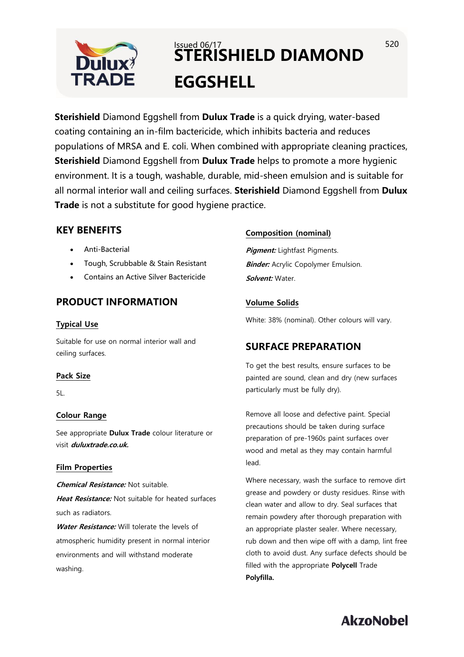

# $Is sued 06/17$  520 **STERISHIELD DIAMOND EGGSHELL**

**Sterishield** Diamond Eggshell from **Dulux Trade** is a quick drying, water-based coating containing an in-film bactericide, which inhibits bacteria and reduces populations of MRSA and E. coli. When combined with appropriate cleaning practices, **Sterishield** Diamond Eggshell from **Dulux Trade** helps to promote a more hygienic environment. It is a tough, washable, durable, mid-sheen emulsion and is suitable for all normal interior wall and ceiling surfaces. **Sterishield** Diamond Eggshell from **Dulux Trade** is not a substitute for good hygiene practice.

# **KEY BENEFITS**

- Anti-Bacterial
- Tough, Scrubbable & Stain Resistant
- Contains an Active Silver Bactericide

# **PRODUCT INFORMATION**

## **Typical Use**

Suitable for use on normal interior wall and ceiling surfaces.

### **Pack Size**

5L.

# **Colour Range**

See appropriate **Dulux Trade** colour literature or visit **duluxtrade.co.uk.**

### **Film Properties**

**Chemical Resistance:** Not suitable.

**Heat Resistance:** Not suitable for heated surfaces such as radiators.

**Water Resistance:** Will tolerate the levels of atmospheric humidity present in normal interior environments and will withstand moderate washing.

# **Composition (nominal)**

**Pigment:** Lightfast Pigments. **Binder:** Acrylic Copolymer Emulsion. **Solvent:** Water.

# **Volume Solids**

White: 38% (nominal). Other colours will vary.

# **SURFACE PREPARATION**

To get the best results, ensure surfaces to be painted are sound, clean and dry (new surfaces particularly must be fully dry).

Remove all loose and defective paint. Special precautions should be taken during surface preparation of pre-1960s paint surfaces over wood and metal as they may contain harmful lead.

Where necessary, wash the surface to remove dirt grease and powdery or dusty residues. Rinse with clean water and allow to dry. Seal surfaces that remain powdery after thorough preparation with an appropriate plaster sealer. Where necessary, rub down and then wipe off with a damp, lint free cloth to avoid dust. Any surface defects should be filled with the appropriate **Polycell** Trade **Polyfilla.**

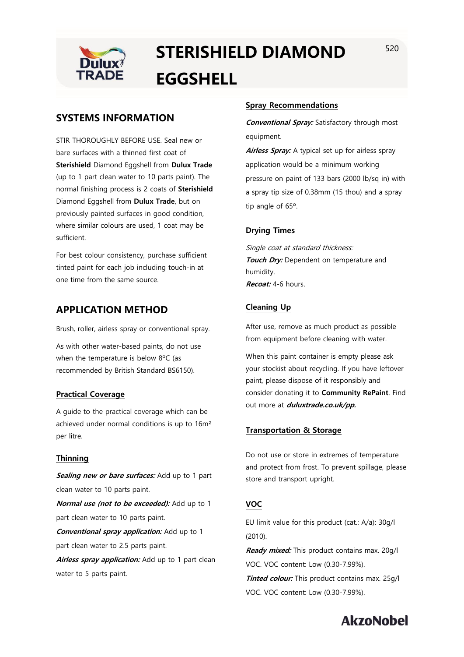

# **STERISHIELD DIAMOND EGGSHELL**

STIR THOROUGHLY BEFORE USE. Seal new or bare surfaces with a thinned first coat of **Sterishield** Diamond Eggshell from **Dulux Trade** (up to 1 part clean water to 10 parts paint). The normal finishing process is 2 coats of **Sterishield** Diamond Eggshell from **Dulux Trade**, but on previously painted surfaces in good condition, where similar colours are used, 1 coat may be sufficient.

For best colour consistency, purchase sufficient tinted paint for each job including touch-in at one time from the same source.

# **APPLICATION METHOD**

Brush, roller, airless spray or conventional spray.

As with other water-based paints, do not use when the temperature is below 8ºC (as recommended by British Standard BS6150).

### **Practical Coverage**

A guide to the practical coverage which can be achieved under normal conditions is up to 16m² per litre.

### **Thinning**

**Sealing new or bare surfaces:** Add up to 1 part clean water to 10 parts paint.

**Normal use (not to be exceeded):** Add up to 1 part clean water to 10 parts paint.

**Conventional spray application:** Add up to 1 part clean water to 2.5 parts paint.

Airless spray application: Add up to 1 part clean water to 5 parts paint.

## **Spray Recommendations**

**Conventional Spray:** Satisfactory through most equipment.

**Airless Spray:** A typical set up for airless spray application would be a minimum working pressure on paint of 133 bars (2000 lb/sq in) with a spray tip size of 0.38mm (15 thou) and a spray tip angle of 65º.

# **Drying Times**

Single coat at standard thickness: **Touch Dry:** Dependent on temperature and humidity. **Recoat:** 4-6 hours.

# **Cleaning Up**

After use, remove as much product as possible from equipment before cleaning with water.

When this paint container is empty please ask your stockist about recycling. If you have leftover paint, please dispose of it responsibly and consider donating it to **Community RePaint**. Find out more at **duluxtrade.co.uk/pp.**

### **Transportation & Storage**

Do not use or store in extremes of temperature and protect from frost. To prevent spillage, please store and transport upright.

# **VOC**

EU limit value for this product (cat.: A/a): 30g/l (2010).

**Ready mixed:** This product contains max. 20g/l VOC. VOC content: Low (0.30-7.99%). **Tinted colour:** This product contains max. 25g/l VOC. VOC content: Low (0.30-7.99%).